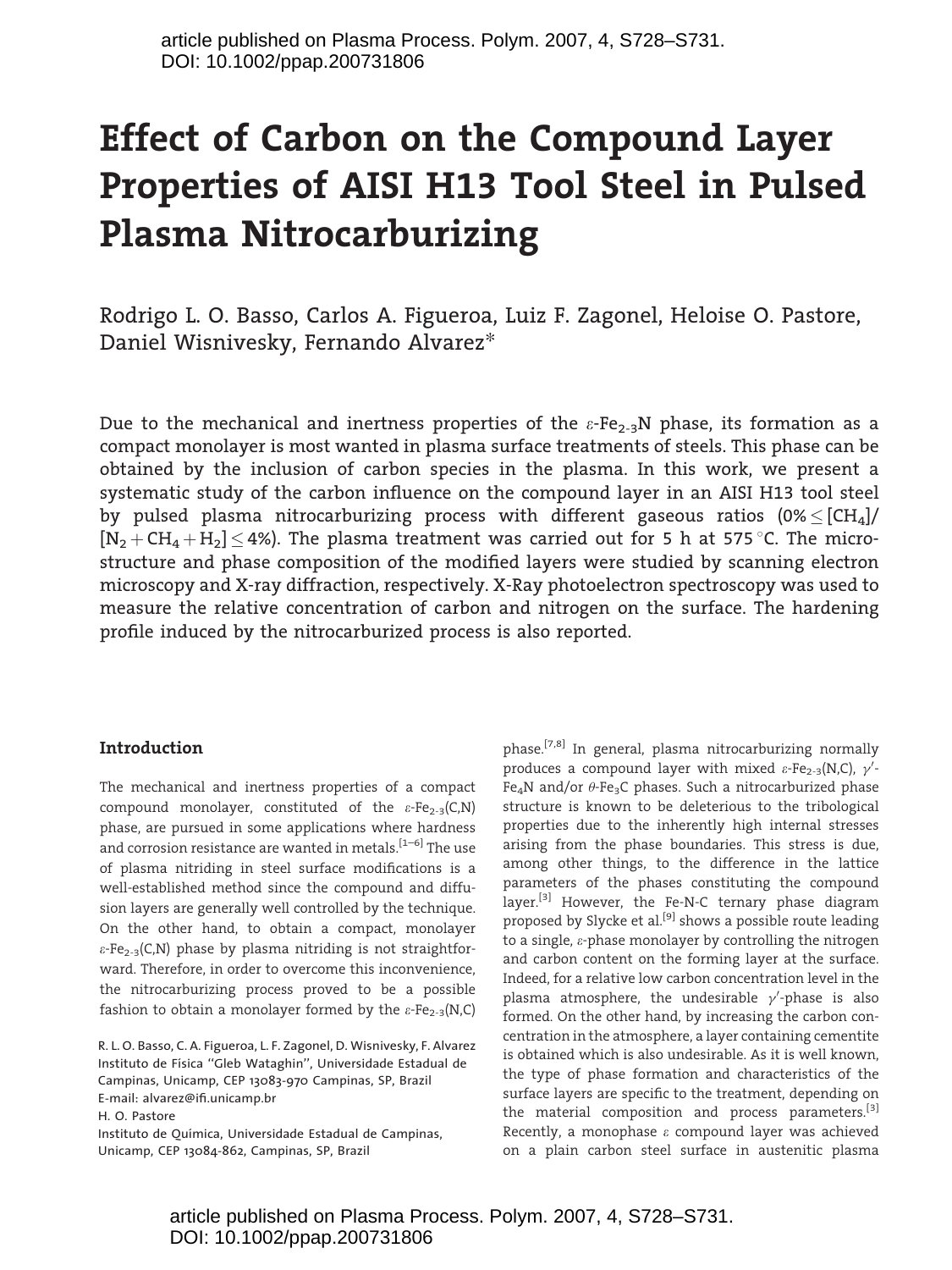# Effect of Carbon on the Compound Layer Properties of AISI H13 Tool Steel in Pulsed Plasma Nitrocarburizing

Rodrigo L. O. Basso, Carlos A. Figueroa, Luiz F. Zagonel, Heloise O. Pastore, Daniel Wisnivesky, Fernando Alvarez*\**

Due to the mechanical and inertness properties of the  $\varepsilon$ -Fe<sub>2-3</sub>N phase, its formation as a compact monolayer is most wanted in plasma surface treatments of steels. This phase can be obtained by the inclusion of carbon species in the plasma. In this work, we present a systematic study of the carbon influence on the compound layer in an AISI H13 tool steel by pulsed plasma nitrocarburizing process with different gaseous ratios  $(0\% \leq [CH_4]/$  $[N_2 + CH_4 + H_2] \leq 4\%$ ). The plasma treatment was carried out for 5 h at 575 °C. The microstructure and phase composition of the modified layers were studied by scanning electron microscopy and X-ray diffraction, respectively. X-Ray photoelectron spectroscopy was used to measure the relative concentration of carbon and nitrogen on the surface. The hardening profile induced by the nitrocarburized process is also reported.

#### Introduction

The mechanical and inertness properties of a compact compound monolayer, constituted of the  $\varepsilon$ -Fe<sub>2-3</sub>(C,N) phase, are pursued in some applications where hardness and corrosion resistance are wanted in metals.<sup>[1-6]</sup> The use of plasma nitriding in steel surface modifications is a well-established method since the compound and diffusion layers are generally well controlled by the technique. On the other hand, to obtain a compact, monolayer  $\varepsilon$ -Fe<sub>2-3</sub>(C,N) phase by plasma nitriding is not straightforward. Therefore, in order to overcome this inconvenience, the nitrocarburizing process proved to be a possible fashion to obtain a monolayer formed by the  $\varepsilon$ -Fe<sub>2-3</sub>(N,C)

R. L. O. Basso, C. A. Figueroa, L. F. Zagonel, D. Wisnivesky, F. Alvarez Instituto de Física "Gleb Wataghin", Universidade Estadual de Campinas, Unicamp, CEP 13083-970 Campinas, SP, Brazil E-mail: alvarez@ifi.unicamp.br H. O. Pastore Instituto de Química, Universidade Estadual de Campinas,

Unicamp, CEP 13084-862, Campinas, SP, Brazil

phase.[7,8] In general, plasma nitrocarburizing normally produces a compound layer with mixed  $\varepsilon$ -Fe<sub>2-3</sub>(N,C),  $\gamma'$ -Fe<sub>4</sub>N and/or  $\theta$ -Fe<sub>3</sub>C phases. Such a nitrocarburized phase structure is known to be deleterious to the tribological properties due to the inherently high internal stresses arising from the phase boundaries. This stress is due, among other things, to the difference in the lattice parameters of the phases constituting the compound layer.<sup>[3]</sup> However, the Fe-N-C ternary phase diagram proposed by Slycke et al.<sup>[9]</sup> shows a possible route leading to a single,  $\varepsilon$ -phase monolayer by controlling the nitrogen and carbon content on the forming layer at the surface. Indeed, for a relative low carbon concentration level in the plasma atmosphere, the undesirable  $\gamma'$ -phase is also formed. On the other hand, by increasing the carbon concentration in the atmosphere, a layer containing cementite is obtained which is also undesirable. As it is well known, the type of phase formation and characteristics of the surface layers are specific to the treatment, depending on the material composition and process parameters.<sup>[3]</sup> Recently, a monophase  $\varepsilon$  compound layer was achieved on a plain carbon steel surface in austenitic plasma

article published on Plasma Process. Polym. 2007, 4, S728–S731. DOI: 10.1002/ppap.200731806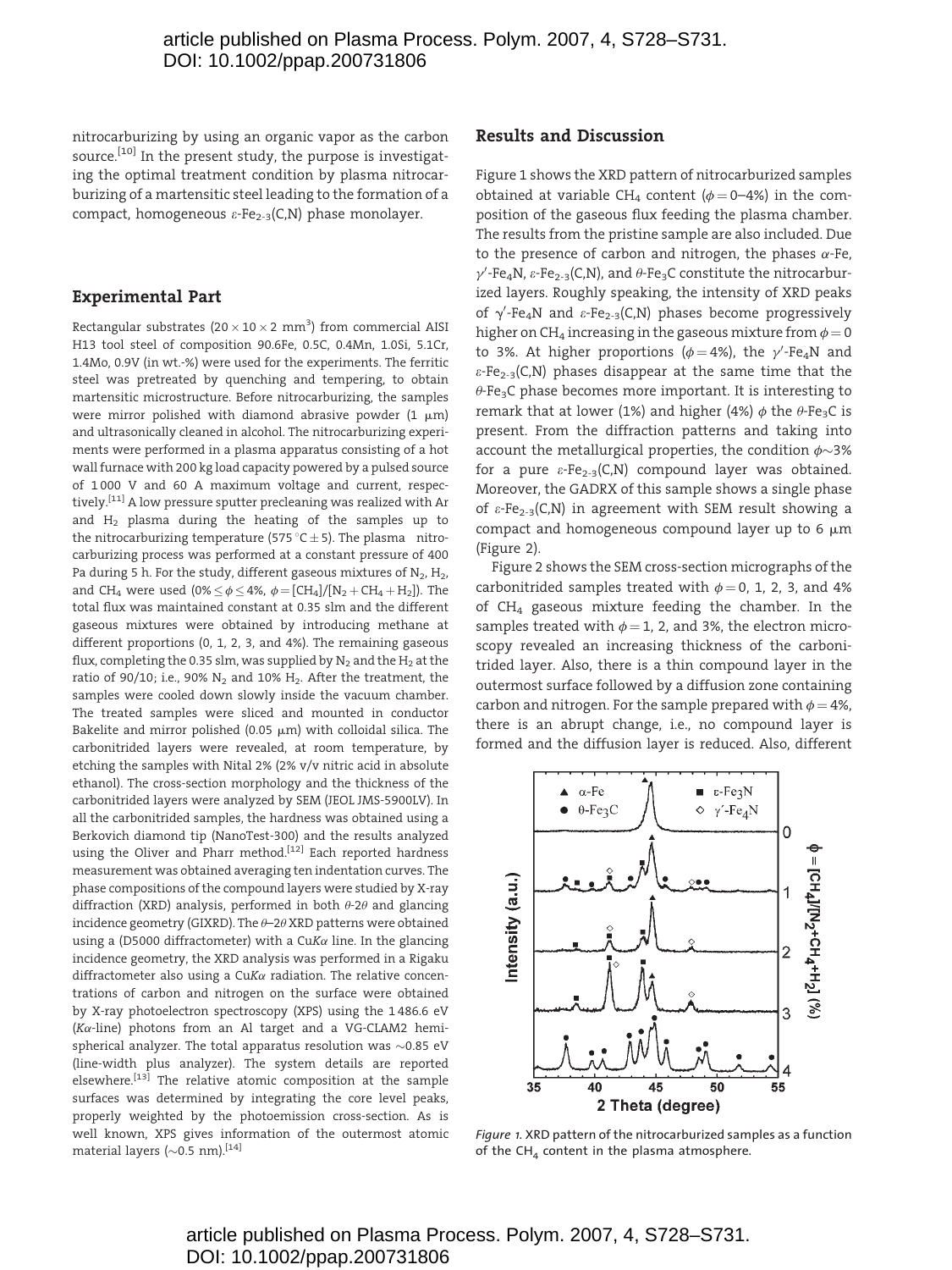nitrocarburizing by using an organic vapor as the carbon source.<sup>[10]</sup> In the present study, the purpose is investigating the optimal treatment condition by plasma nitrocarburizing of a martensitic steel leading to the formation of a compact, homogeneous  $\varepsilon$ -Fe<sub>2-3</sub>(C,N) phase monolayer.

## Experimental Part

Rectangular substrates (20  $\times$  10  $\times$  2 mm<sup>3</sup>) from commercial AISI H13 tool steel of composition 90.6Fe, 0.5C, 0.4Mn, 1.0Si, 5.1Cr, 1.4Mo, 0.9V (in wt.-%) were used for the experiments. The ferritic steel was pretreated by quenching and tempering, to obtain martensitic microstructure. Before nitrocarburizing, the samples were mirror polished with diamond abrasive powder (1  $\mu$ m) and ultrasonically cleaned in alcohol. The nitrocarburizing experiments were performed in a plasma apparatus consisting of a hot wall furnace with 200 kg load capacity powered by a pulsed source of 1 000 V and 60 A maximum voltage and current, respectively.<sup>[11]</sup> A low pressure sputter precleaning was realized with Ar and  $H<sub>2</sub>$  plasma during the heating of the samples up to the nitrocarburizing temperature (575 °C  $\pm$  5). The plasma nitrocarburizing process was performed at a constant pressure of 400 Pa during 5 h. For the study, different gaseous mixtures of  $N_2$ ,  $H_2$ , and CH<sub>4</sub> were used (0%  $\leq \phi \leq 4$ %,  $\phi = [CH_4]/[N_2 + CH_4 + H_2]$ ). The total flux was maintained constant at 0.35 slm and the different gaseous mixtures were obtained by introducing methane at different proportions (0, 1, 2, 3, and 4%). The remaining gaseous flux, completing the 0.35 slm, was supplied by  $N_2$  and the  $H_2$  at the ratio of 90/10; i.e., 90%  $N_2$  and 10%  $H_2$ . After the treatment, the samples were cooled down slowly inside the vacuum chamber. The treated samples were sliced and mounted in conductor Bakelite and mirror polished (0.05  $\mu$ m) with colloidal silica. The carbonitrided layers were revealed, at room temperature, by etching the samples with Nital 2% (2% v/v nitric acid in absolute ethanol). The cross-section morphology and the thickness of the carbonitrided layers were analyzed by SEM (JEOL JMS-5900LV). In all the carbonitrided samples, the hardness was obtained using a Berkovich diamond tip (NanoTest-300) and the results analyzed using the Oliver and Pharr method.<sup>[12]</sup> Each reported hardness measurement was obtained averaging ten indentation curves. The phase compositions of the compound layers were studied by X-ray diffraction (XRD) analysis, performed in both  $\theta$ -2 $\theta$  and glancing incidence geometry (GIXRD). The  $\theta$ –2 $\theta$ XRD patterns were obtained using a (D5000 diffractometer) with a CuK $\alpha$  line. In the glancing incidence geometry, the XRD analysis was performed in a Rigaku diffractometer also using a  $CuK\alpha$  radiation. The relative concentrations of carbon and nitrogen on the surface were obtained by X-ray photoelectron spectroscopy (XPS) using the 1 486.6 eV  $(K\alpha$ -line) photons from an Al target and a VG-CLAM2 hemispherical analyzer. The total apparatus resolution was  $\sim$ 0.85 eV (line-width plus analyzer). The system details are reported elsewhere.<sup>[13]</sup> The relative atomic composition at the sample surfaces was determined by integrating the core level peaks, properly weighted by the photoemission cross-section. As is well known, XPS gives information of the outermost atomic material layers ( $\sim$ 0.5 nm).<sup>[14]</sup>

#### Results and Discussion

Figure 1 shows the XRD pattern of nitrocarburized samples obtained at variable CH<sub>4</sub> content ( $\phi$  = 0–4%) in the composition of the gaseous flux feeding the plasma chamber. The results from the pristine sample are also included. Due to the presence of carbon and nitrogen, the phases  $\alpha$ -Fe,  $\gamma'$ -Fe<sub>4</sub>N,  $\varepsilon$ -Fe<sub>2-3</sub>(C,N), and  $\theta$ -Fe<sub>3</sub>C constitute the nitrocarburized layers. Roughly speaking, the intensity of XRD peaks of  $\gamma'$ -Fe<sub>4</sub>N and  $\varepsilon$ -Fe<sub>2-3</sub>(C,N) phases become progressively higher on CH<sub>4</sub> increasing in the gaseous mixture from  $\phi = 0$ to 3%. At higher proportions ( $\phi = 4\%$ ), the  $\gamma'$ -Fe<sub>4</sub>N and  $\varepsilon$ -Fe<sub>2-3</sub>(C,N) phases disappear at the same time that the  $\theta$ -Fe<sub>3</sub>C phase becomes more important. It is interesting to remark that at lower (1%) and higher (4%)  $\phi$  the  $\theta$ -Fe<sub>3</sub>C is present. From the diffraction patterns and taking into account the metallurgical properties, the condition  $\phi$ ~3% for a pure  $\varepsilon$ -Fe<sub>2-3</sub>(C,N) compound layer was obtained. Moreover, the GADRX of this sample shows a single phase of  $\varepsilon$ -Fe<sub>2-3</sub>(C,N) in agreement with SEM result showing a compact and homogeneous compound layer up to 6  $\mu$ m (Figure 2).

Figure 2 shows the SEM cross-section micrographs of the carbonitrided samples treated with  $\phi = 0$ , 1, 2, 3, and 4% of CH4 gaseous mixture feeding the chamber. In the samples treated with  $\phi = 1$ , 2, and 3%, the electron microscopy revealed an increasing thickness of the carbonitrided layer. Also, there is a thin compound layer in the outermost surface followed by a diffusion zone containing carbon and nitrogen. For the sample prepared with  $\phi = 4\%$ , there is an abrupt change, i.e., no compound layer is formed and the diffusion layer is reduced. Also, different



Figure 1. XRD pattern of the nitrocarburized samples as a function of the  $CH<sub>4</sub>$  content in the plasma atmosphere.

# article published on Plasma Process. Polym. 2007, 4, S728–S731. DOI: 10.1002/ppap.200731806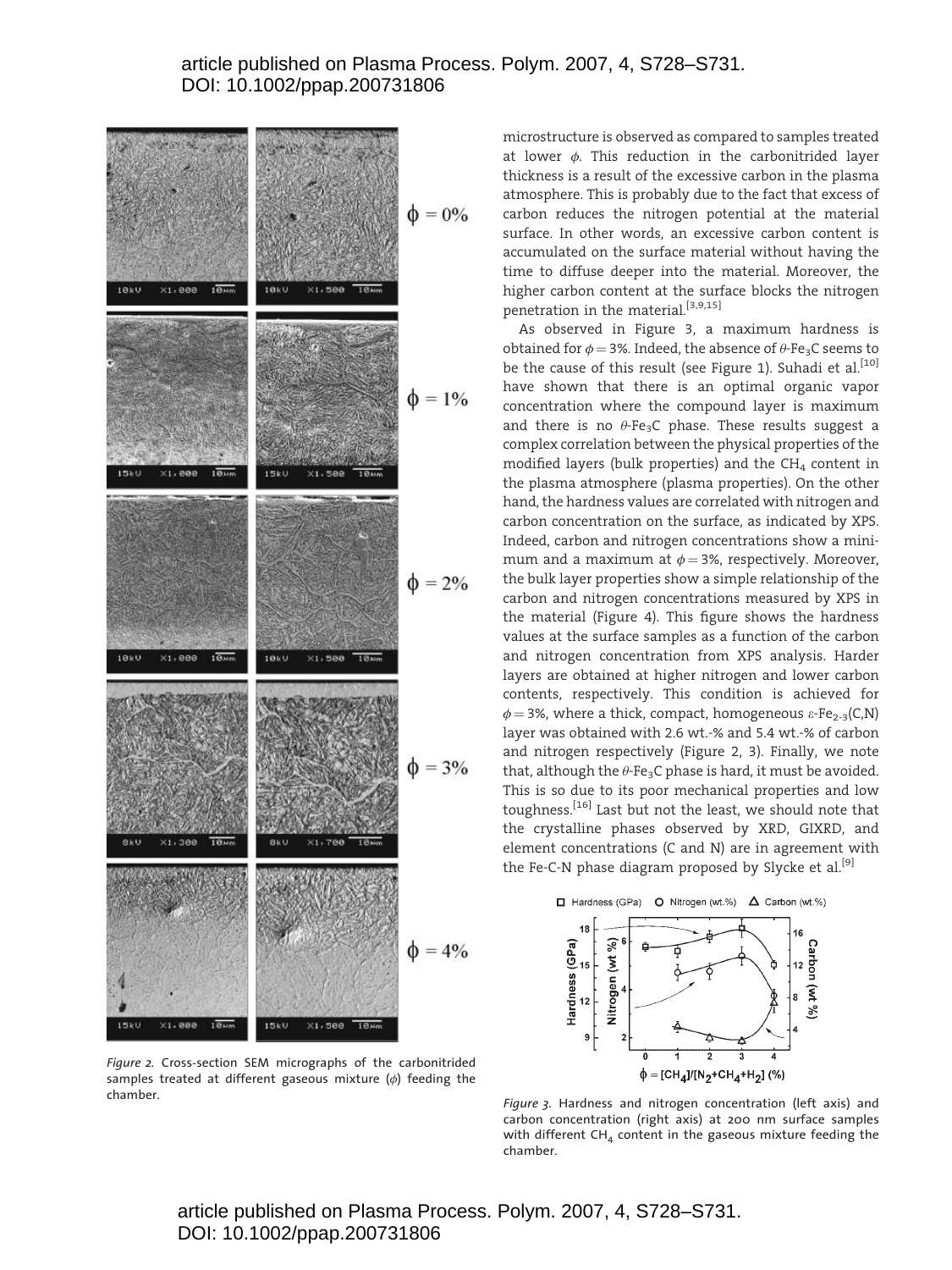

Figure 2. Cross-section SEM micrographs of the carbonitrided samples treated at different gaseous mixture  $(\phi)$  feeding the

microstructure is observed as compared to samples treated at lower  $\phi$ . This reduction in the carbonitrided layer thickness is a result of the excessive carbon in the plasma atmosphere. This is probably due to the fact that excess of carbon reduces the nitrogen potential at the material surface. In other words, an excessive carbon content is accumulated on the surface material without having the time to diffuse deeper into the material. Moreover, the higher carbon content at the surface blocks the nitrogen penetration in the material.<sup>[3,9,15]</sup>

As observed in Figure 3, a maximum hardness is obtained for  $\phi = 3$ %. Indeed, the absence of  $\theta$ -Fe<sub>3</sub>C seems to be the cause of this result (see Figure 1). Suhadi et al.<sup>[10]</sup> have shown that there is an optimal organic vapor concentration where the compound layer is maximum and there is no  $\theta$ -Fe<sub>3</sub>C phase. These results suggest a complex correlation between the physical properties of the modified layers (bulk properties) and the  $CH<sub>4</sub>$  content in the plasma atmosphere (plasma properties). On the other hand, the hardness values are correlated with nitrogen and carbon concentration on the surface, as indicated by XPS. Indeed, carbon and nitrogen concentrations show a minimum and a maximum at  $\phi = 3$ %, respectively. Moreover, the bulk layer properties show a simple relationship of the carbon and nitrogen concentrations measured by XPS in the material (Figure 4). This figure shows the hardness values at the surface samples as a function of the carbon and nitrogen concentration from XPS analysis. Harder layers are obtained at higher nitrogen and lower carbon contents, respectively. This condition is achieved for  $\phi = 3$ %, where a thick, compact, homogeneous  $\varepsilon$ -Fe<sub>2-3</sub>(C,N) layer was obtained with 2.6 wt.-% and 5.4 wt.-% of carbon and nitrogen respectively (Figure 2, 3). Finally, we note that, although the  $\theta$ -Fe<sub>3</sub>C phase is hard, it must be avoided. This is so due to its poor mechanical properties and low toughness.[16] Last but not the least, we should note that the crystalline phases observed by XRD, GIXRD, and element concentrations (C and N) are in agreement with the Fe-C-N phase diagram proposed by Slycke et al.<sup>[9]</sup>





chamber. Figure 3. Hardness and nitrogen concentration (left axis) and carbon concentration (right axis) at 200 nm surface samples with different  $CH_4$  content in the gaseous mixture feeding the chamber.

article published on Plasma Process. Polym. 2007, 4, S728–S731. DOI: 10.1002/ppap.200731806